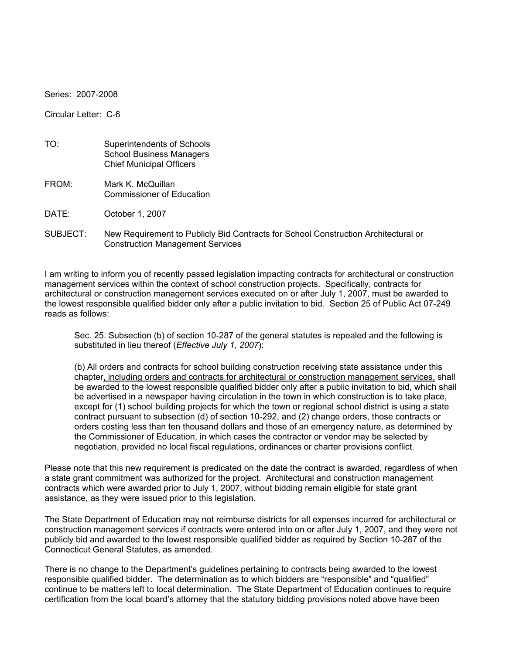Series: 2007-2008

Circular Letter: C-6

| TO: | Superintendents of Schools      |
|-----|---------------------------------|
|     | <b>School Business Managers</b> |
|     | <b>Chief Municipal Officers</b> |

FROM: Mark K. McQuillan Commissioner of Education

DATE: October 1, 2007

SUBJECT: New Requirement to Publicly Bid Contracts for School Construction Architectural or Construction Management Services

I am writing to inform you of recently passed legislation impacting contracts for architectural or construction management services within the context of school construction projects. Specifically, contracts for architectural or construction management services executed on or after July 1, 2007, must be awarded to the lowest responsible qualified bidder only after a public invitation to bid. Section 25 of Public Act 07-249 reads as follows:

Sec. 25. Subsection (b) of section 10-287 of the general statutes is repealed and the following is substituted in lieu thereof (*Effective July 1, 2007*):

(b) All orders and contracts for school building construction receiving state assistance under this chapter, including orders and contracts for architectural or construction management services, shall be awarded to the lowest responsible qualified bidder only after a public invitation to bid, which shall be advertised in a newspaper having circulation in the town in which construction is to take place, except for (1) school building projects for which the town or regional school district is using a state contract pursuant to subsection (d) of section 10-292, and (2) change orders, those contracts or orders costing less than ten thousand dollars and those of an emergency nature, as determined by the Commissioner of Education, in which cases the contractor or vendor may be selected by negotiation, provided no local fiscal regulations, ordinances or charter provisions conflict.

Please note that this new requirement is predicated on the date the contract is awarded, regardless of when a state grant commitment was authorized for the project. Architectural and construction management contracts which were awarded prior to July 1, 2007, without bidding remain eligible for state grant assistance, as they were issued prior to this legislation.

The State Department of Education may not reimburse districts for all expenses incurred for architectural or construction management services if contracts were entered into on or after July 1, 2007, and they were not publicly bid and awarded to the lowest responsible qualified bidder as required by Section 10-287 of the Connecticut General Statutes, as amended.

There is no change to the Department's guidelines pertaining to contracts being awarded to the lowest responsible qualified bidder. The determination as to which bidders are "responsible" and "qualified" continue to be matters left to local determination. The State Department of Education continues to require certification from the local board's attorney that the statutory bidding provisions noted above have been